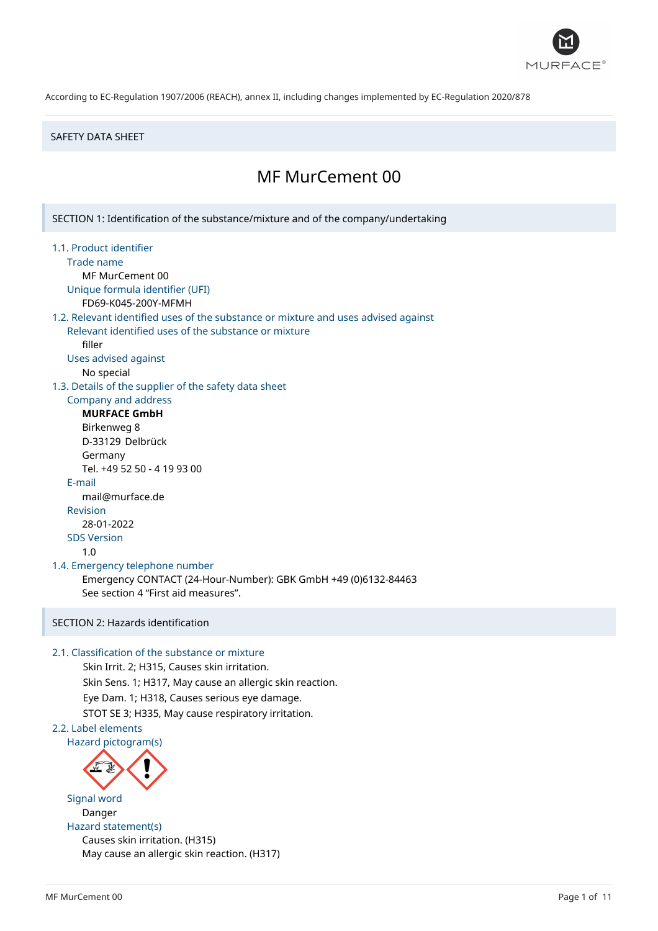

#### SAFETY DATA SHEET

# MF MurCement 00

SECTION 1: Identification of the substance/mixture and of the company/undertaking

- 1.1. Product identifier
	- Trade name
	- MF MurCement 00

Unique formula identifier (UFI) FD69-K045-200Y-MFMH

#### 1.2. Relevant identified uses of the substance or mixture and uses advised against

Relevant identified uses of the substance or mixture filler

Uses advised against

No special

1.3. Details of the supplier of the safety data sheet

# Company and address

**MURFACE GmbH** Birkenweg 8 D-33129 Delbrück Germany Tel. +49 52 50 - 4 19 93 00 E-mail mail@murface.de Revision 28-01-2022 SDS Version 1.0

# 1.4. Emergency telephone number

Emergency CONTACT (24-Hour-Number): GBK GmbH +49 (0)6132-84463 See section 4 "First aid measures".

# SECTION 2: Hazards identification

# 2.1. Classification of the substance or mixture

Skin Irrit. 2; H315, Causes skin irritation. Skin Sens. 1; H317, May cause an allergic skin reaction. Eye Dam. 1; H318, Causes serious eye damage. STOT SE 3; H335, May cause respiratory irritation.

# 2.2. Label elements



Signal word Danger Hazard statement(s) Causes skin irritation. (H315) May cause an allergic skin reaction. (H317)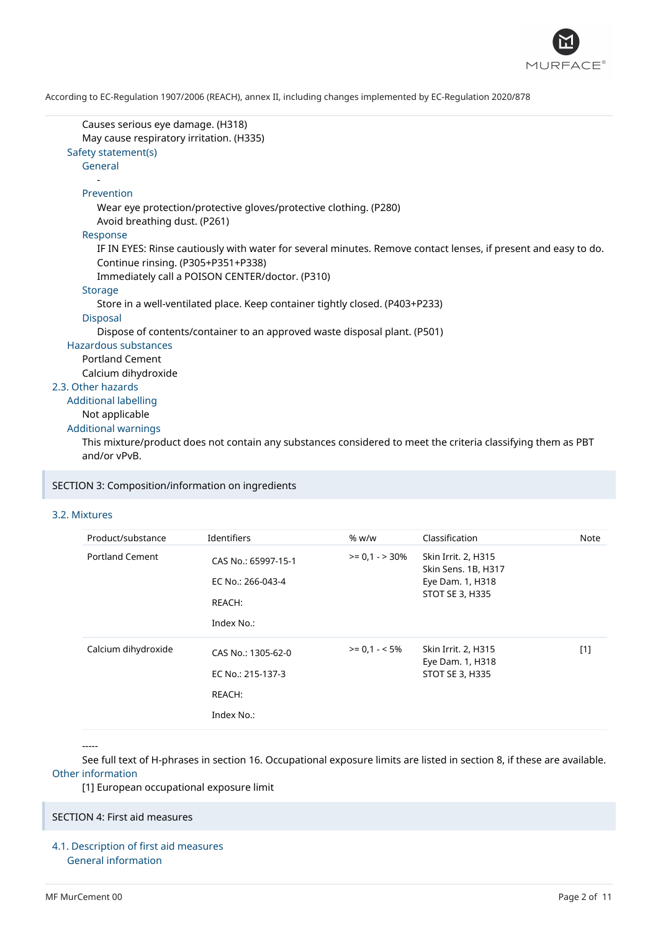

```
Causes serious eye damage. (H318)
      May cause respiratory irritation. (H335)
  Safety statement(s)
      General
         -
      Prevention
         Wear eye protection/protective gloves/protective clothing. (P280)
         Avoid breathing dust. (P261)
      Response
         IF IN EYES: Rinse cautiously with water for several minutes. Remove contact lenses, if present and easy to do.
         Continue rinsing. (P305+P351+P338)
         Immediately call a POISON CENTER/doctor. (P310)
      Storage
         Store in a well-ventilated place. Keep container tightly closed. (P403+P233)
      Disposal
         Dispose of contents/container to an approved waste disposal plant. (P501)
  Hazardous substances
      Portland Cement
      Calcium dihydroxide
2.3. Other hazards
  Additional labelling
      Not applicable
  Additional warnings
      This mixture/product does not contain any substances considered to meet the criteria classifying them as PBT
      and/or vPvB.
```
#### SECTION 3: Composition/information on ingredients

#### 3.2. Mixtures

| Product/substance      | Identifiers                                                      | % w/w           | Classification                                                                           | Note  |
|------------------------|------------------------------------------------------------------|-----------------|------------------------------------------------------------------------------------------|-------|
| <b>Portland Cement</b> | CAS No.: 65997-15-1<br>EC No.: 266-043-4<br>REACH:<br>Index No.: | $>= 0.1 - 30\%$ | Skin Irrit. 2, H315<br>Skin Sens. 1B, H317<br>Eye Dam. 1, H318<br><b>STOT SE 3, H335</b> |       |
| Calcium dihydroxide    | CAS No.: 1305-62-0<br>EC No.: 215-137-3<br>REACH:<br>Index No.:  | $>= 0.1 - 5\%$  | Skin Irrit. 2, H315<br>Eye Dam. 1, H318<br><b>STOT SE 3, H335</b>                        | $[1]$ |

-----

See full text of H-phrases in section 16. Occupational exposure limits are listed in section 8, if these are available. Other information

[1] European occupational exposure limit

# SECTION 4: First aid measures

4.1. Description of first aid measures General information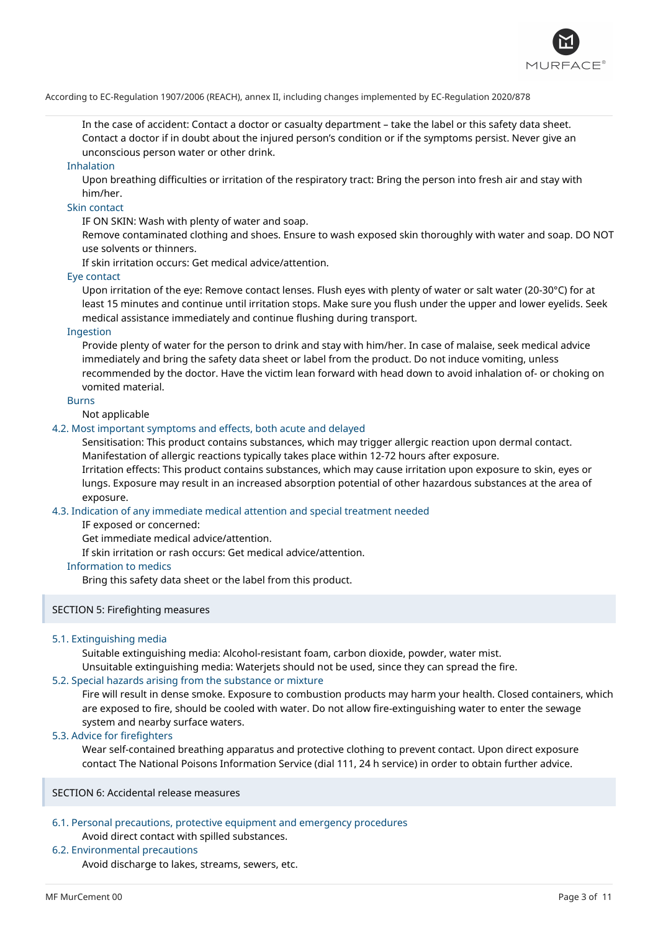

In the case of accident: Contact a doctor or casualty department – take the label or this safety data sheet. Contact a doctor if in doubt about the injured person's condition or if the symptoms persist. Never give an unconscious person water or other drink.

#### Inhalation

Upon breathing difficulties or irritation of the respiratory tract: Bring the person into fresh air and stay with him/her.

#### Skin contact

IF ON SKIN: Wash with plenty of water and soap.

Remove contaminated clothing and shoes. Ensure to wash exposed skin thoroughly with water and soap. DO NOT use solvents or thinners.

If skin irritation occurs: Get medical advice/attention.

#### Eye contact

Upon irritation of the eye: Remove contact lenses. Flush eyes with plenty of water or salt water (20-30°C) for at least 15 minutes and continue until irritation stops. Make sure you flush under the upper and lower eyelids. Seek medical assistance immediately and continue flushing during transport.

# Ingestion

Provide plenty of water for the person to drink and stay with him/her. In case of malaise, seek medical advice immediately and bring the safety data sheet or label from the product. Do not induce vomiting, unless recommended by the doctor. Have the victim lean forward with head down to avoid inhalation of- or choking on vomited material.

#### Burns

Not applicable

# 4.2. Most important symptoms and effects, both acute and delayed

Sensitisation: This product contains substances, which may trigger allergic reaction upon dermal contact. Manifestation of allergic reactions typically takes place within 12-72 hours after exposure.

Irritation effects: This product contains substances, which may cause irritation upon exposure to skin, eyes or lungs. Exposure may result in an increased absorption potential of other hazardous substances at the area of exposure.

#### 4.3. Indication of any immediate medical attention and special treatment needed

IF exposed or concerned:

Get immediate medical advice/attention.

If skin irritation or rash occurs: Get medical advice/attention.

### Information to medics

Bring this safety data sheet or the label from this product.

# SECTION 5: Firefighting measures

# 5.1. Extinguishing media

Suitable extinguishing media: Alcohol-resistant foam, carbon dioxide, powder, water mist.

Unsuitable extinguishing media: Waterjets should not be used, since they can spread the fire.

# 5.2. Special hazards arising from the substance or mixture

Fire will result in dense smoke. Exposure to combustion products may harm your health. Closed containers, which are exposed to fire, should be cooled with water. Do not allow fire-extinguishing water to enter the sewage system and nearby surface waters.

### 5.3. Advice for firefighters

Wear self-contained breathing apparatus and protective clothing to prevent contact. Upon direct exposure contact The National Poisons Information Service (dial 111, 24 h service) in order to obtain further advice.

SECTION 6: Accidental release measures

# 6.1. Personal precautions, protective equipment and emergency procedures Avoid direct contact with spilled substances.

# 6.2. Environmental precautions

Avoid discharge to lakes, streams, sewers, etc.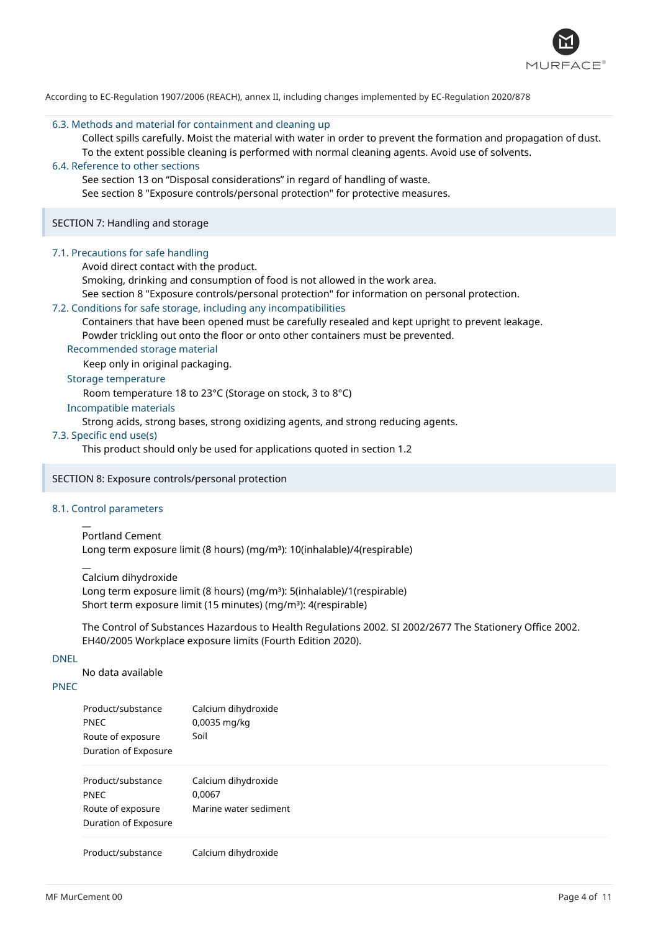

#### 6.3. Methods and material for containment and cleaning up

Collect spills carefully. Moist the material with water in order to prevent the formation and propagation of dust. To the extent possible cleaning is performed with normal cleaning agents. Avoid use of solvents.

# 6.4. Reference to other sections

See section 13 on "Disposal considerations" in regard of handling of waste.

See section 8 "Exposure controls/personal protection" for protective measures.

### SECTION 7: Handling and storage

#### 7.1. Precautions for safe handling

Avoid direct contact with the product.

Smoking, drinking and consumption of food is not allowed in the work area.

See section 8 "Exposure controls/personal protection" for information on personal protection.

#### 7.2. Conditions for safe storage, including any incompatibilities

Containers that have been opened must be carefully resealed and kept upright to prevent leakage.

Powder trickling out onto the floor or onto other containers must be prevented.

Recommended storage material

Keep only in original packaging.

# Storage temperature

Room temperature 18 to 23°C (Storage on stock, 3 to 8°C)

# Incompatible materials

Strong acids, strong bases, strong oxidizing agents, and strong reducing agents.

### 7.3. Specific end use(s)

This product should only be used for applications quoted in section 1.2

# SECTION 8: Exposure controls/personal protection

# 8.1. Control parameters

 $\overline{a}$ 

#### $\overline{a}$ Portland Cement

Long term exposure limit (8 hours) (mg/m<sup>3</sup>): 10(inhalable)/4(respirable)

Calcium dihydroxide

Long term exposure limit (8 hours) (mg/m<sup>3</sup>): 5(inhalable)/1(respirable) Short term exposure limit (15 minutes) (mg/m<sup>3</sup>): 4(respirable)

The Control of Substances Hazardous to Health Regulations 2002. SI 2002/2677 The Stationery Office 2002. EH40/2005 Workplace exposure limits (Fourth Edition 2020).

# DNEL

No data available

# PNEC

| <b>PNEC</b><br>Route of exposure<br>Duration of Exposure                      | 0,0035 mg/kg<br>Soil                                        |
|-------------------------------------------------------------------------------|-------------------------------------------------------------|
| Product/substance<br><b>PNEC</b><br>Route of exposure<br>Duration of Exposure | Calcium dihydroxide<br>0,0067<br>Marine water sediment      |
| Donald at the detection                                                       | والمستناء والمستناد والالمستند والمناسب والمستناة والمستنات |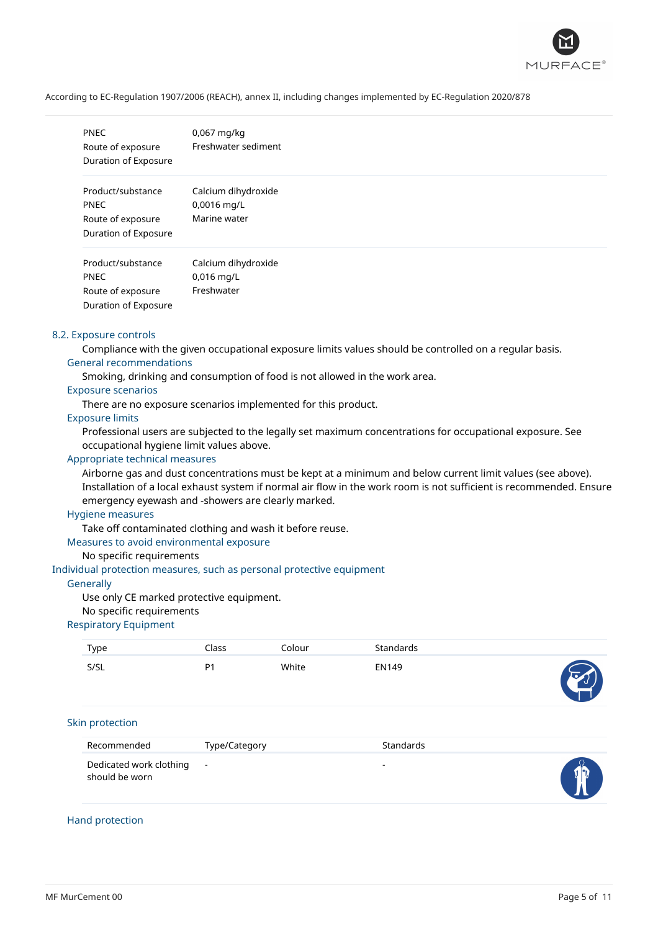

| <b>PNEC</b><br>Route of exposure<br>Duration of Exposure                      | $0.067$ mg/kg<br>Freshwater sediment               |
|-------------------------------------------------------------------------------|----------------------------------------------------|
| Product/substance<br><b>PNEC</b><br>Route of exposure<br>Duration of Exposure | Calcium dihydroxide<br>0,0016 mg/L<br>Marine water |
| Product/substance<br><b>PNEC</b><br>Route of exposure<br>Duration of Exposure | Calcium dihydroxide<br>$0,016$ mg/L<br>Freshwater  |

#### 8.2. Exposure controls

Compliance with the given occupational exposure limits values should be controlled on a regular basis. General recommendations

Smoking, drinking and consumption of food is not allowed in the work area.

#### Exposure scenarios

There are no exposure scenarios implemented for this product.

# Exposure limits

Professional users are subjected to the legally set maximum concentrations for occupational exposure. See occupational hygiene limit values above.

# Appropriate technical measures

Airborne gas and dust concentrations must be kept at a minimum and below current limit values (see above). Installation of a local exhaust system if normal air flow in the work room is not sufficient is recommended. Ensure emergency eyewash and -showers are clearly marked.

### Hygiene measures

Take off contaminated clothing and wash it before reuse.

# Measures to avoid environmental exposure

#### No specific requirements

Individual protection measures, such as personal protective equipment

#### **Generally**

Use only CE marked protective equipment.

#### No specific requirements

### Respiratory Equipment

| Type                                      | Class                    | Colour | Standards                |  |
|-------------------------------------------|--------------------------|--------|--------------------------|--|
| S/SL                                      | P <sub>1</sub>           | White  | EN149                    |  |
| Skin protection                           |                          |        |                          |  |
| Recommended                               | Type/Category            |        | Standards                |  |
| Dedicated work clothing<br>should be worn | $\overline{\phantom{a}}$ |        | $\overline{\phantom{a}}$ |  |

### Hand protection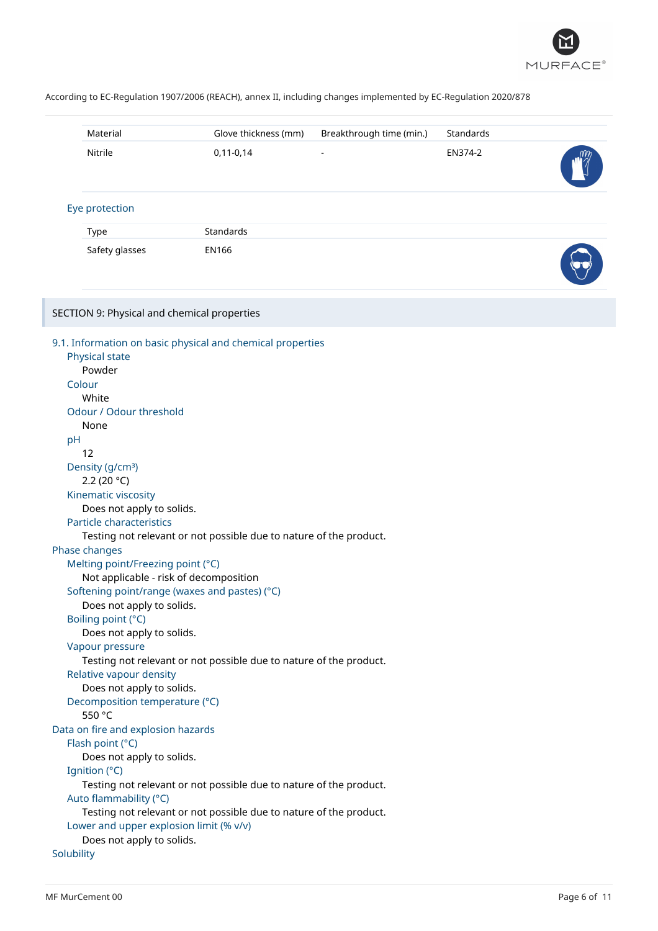

| Material                                                                                                                                                                                                                                                                                                                                                                                                                                                                                  | Glove thickness (mm)                                                                                                                                                                                                                                                                              | Breakthrough time (min.) | Standards |  |
|-------------------------------------------------------------------------------------------------------------------------------------------------------------------------------------------------------------------------------------------------------------------------------------------------------------------------------------------------------------------------------------------------------------------------------------------------------------------------------------------|---------------------------------------------------------------------------------------------------------------------------------------------------------------------------------------------------------------------------------------------------------------------------------------------------|--------------------------|-----------|--|
| Nitrile                                                                                                                                                                                                                                                                                                                                                                                                                                                                                   | $0,11-0,14$                                                                                                                                                                                                                                                                                       |                          | EN374-2   |  |
| Eye protection                                                                                                                                                                                                                                                                                                                                                                                                                                                                            |                                                                                                                                                                                                                                                                                                   |                          |           |  |
| Type                                                                                                                                                                                                                                                                                                                                                                                                                                                                                      | Standards                                                                                                                                                                                                                                                                                         |                          |           |  |
| Safety glasses                                                                                                                                                                                                                                                                                                                                                                                                                                                                            | <b>EN166</b>                                                                                                                                                                                                                                                                                      |                          |           |  |
| SECTION 9: Physical and chemical properties                                                                                                                                                                                                                                                                                                                                                                                                                                               |                                                                                                                                                                                                                                                                                                   |                          |           |  |
| Physical state<br>Powder<br>Colour<br>White<br>Odour / Odour threshold<br>None<br>pH<br>12<br>Density (g/cm <sup>3</sup> )<br>2.2 (20 $°C$ )<br>Kinematic viscosity<br>Does not apply to solids.<br>Particle characteristics<br>Phase changes<br>Melting point/Freezing point (°C)<br>Does not apply to solids.<br>Boiling point (°C)<br>Does not apply to solids.<br>Vapour pressure<br>Relative vapour density<br>Does not apply to solids.<br>Decomposition temperature (°C)<br>550 °C | 9.1. Information on basic physical and chemical properties<br>Testing not relevant or not possible due to nature of the product.<br>Not applicable - risk of decomposition<br>Softening point/range (waxes and pastes) (°C)<br>Testing not relevant or not possible due to nature of the product. |                          |           |  |
| Data on fire and explosion hazards<br>Flash point (°C)<br>Does not apply to solids.                                                                                                                                                                                                                                                                                                                                                                                                       |                                                                                                                                                                                                                                                                                                   |                          |           |  |
| Ignition (°C)<br>Auto flammability (°C)<br>Lower and upper explosion limit (% v/v)                                                                                                                                                                                                                                                                                                                                                                                                        | Testing not relevant or not possible due to nature of the product.<br>Testing not relevant or not possible due to nature of the product.                                                                                                                                                          |                          |           |  |
| Does not apply to solids.<br>Solubility                                                                                                                                                                                                                                                                                                                                                                                                                                                   |                                                                                                                                                                                                                                                                                                   |                          |           |  |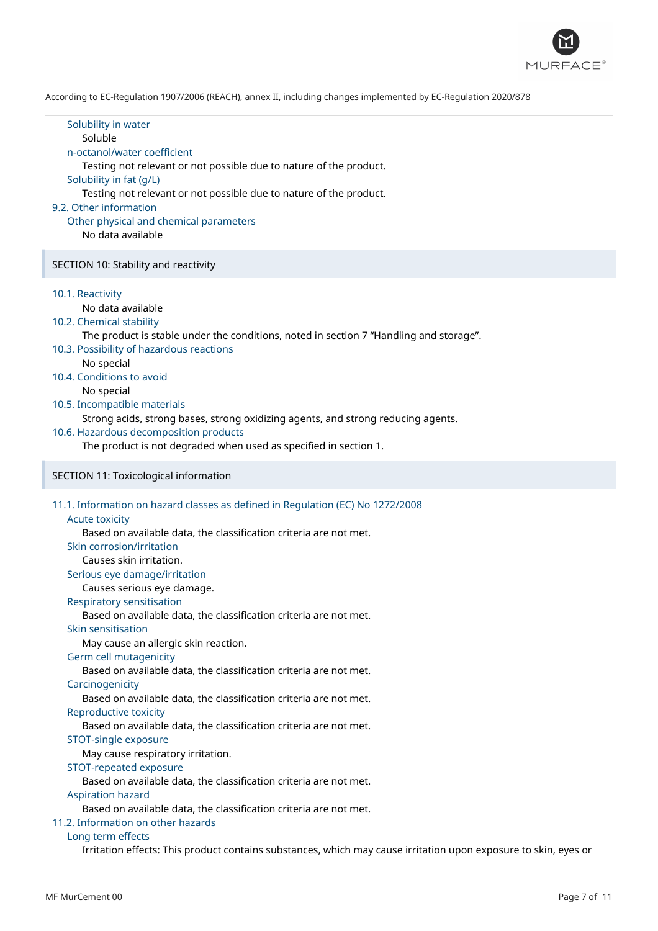

| Solubility in water<br>Soluble<br>n-octanol/water coefficient<br>Testing not relevant or not possible due to nature of the product.<br>Solubility in fat (g/L)<br>Testing not relevant or not possible due to nature of the product.<br>9.2. Other information<br>Other physical and chemical parameters<br>No data available                                                                                                                                                                                                                                                                                                                                                                                                                                                                                                                                                                                                                                                                                                |  |
|------------------------------------------------------------------------------------------------------------------------------------------------------------------------------------------------------------------------------------------------------------------------------------------------------------------------------------------------------------------------------------------------------------------------------------------------------------------------------------------------------------------------------------------------------------------------------------------------------------------------------------------------------------------------------------------------------------------------------------------------------------------------------------------------------------------------------------------------------------------------------------------------------------------------------------------------------------------------------------------------------------------------------|--|
| SECTION 10: Stability and reactivity                                                                                                                                                                                                                                                                                                                                                                                                                                                                                                                                                                                                                                                                                                                                                                                                                                                                                                                                                                                         |  |
| 10.1. Reactivity<br>No data available<br>10.2. Chemical stability<br>The product is stable under the conditions, noted in section 7 "Handling and storage".<br>10.3. Possibility of hazardous reactions<br>No special<br>10.4. Conditions to avoid<br>No special<br>10.5. Incompatible materials<br>Strong acids, strong bases, strong oxidizing agents, and strong reducing agents.<br>10.6. Hazardous decomposition products<br>The product is not degraded when used as specified in section 1.                                                                                                                                                                                                                                                                                                                                                                                                                                                                                                                           |  |
| SECTION 11: Toxicological information                                                                                                                                                                                                                                                                                                                                                                                                                                                                                                                                                                                                                                                                                                                                                                                                                                                                                                                                                                                        |  |
| 11.1. Information on hazard classes as defined in Regulation (EC) No 1272/2008<br><b>Acute toxicity</b><br>Based on available data, the classification criteria are not met.<br>Skin corrosion/irritation<br>Causes skin irritation.<br>Serious eye damage/irritation<br>Causes serious eye damage.<br><b>Respiratory sensitisation</b><br>Based on available data, the classification criteria are not met.<br>Skin sensitisation<br>May cause an allergic skin reaction.<br>Germ cell mutagenicity<br>Based on available data, the classification criteria are not met.<br>Carcinogenicity<br>Based on available data, the classification criteria are not met.<br>Reproductive toxicity<br>Based on available data, the classification criteria are not met.<br>STOT-single exposure<br>May cause respiratory irritation.<br>STOT-repeated exposure<br>Based on available data, the classification criteria are not met.<br><b>Aspiration hazard</b><br>Based on available data, the classification criteria are not met. |  |
| 11.2 Information on other hazards                                                                                                                                                                                                                                                                                                                                                                                                                                                                                                                                                                                                                                                                                                                                                                                                                                                                                                                                                                                            |  |

#### 11.2. Information on other hazards

### Long term effects

Irritation effects: This product contains substances, which may cause irritation upon exposure to skin, eyes or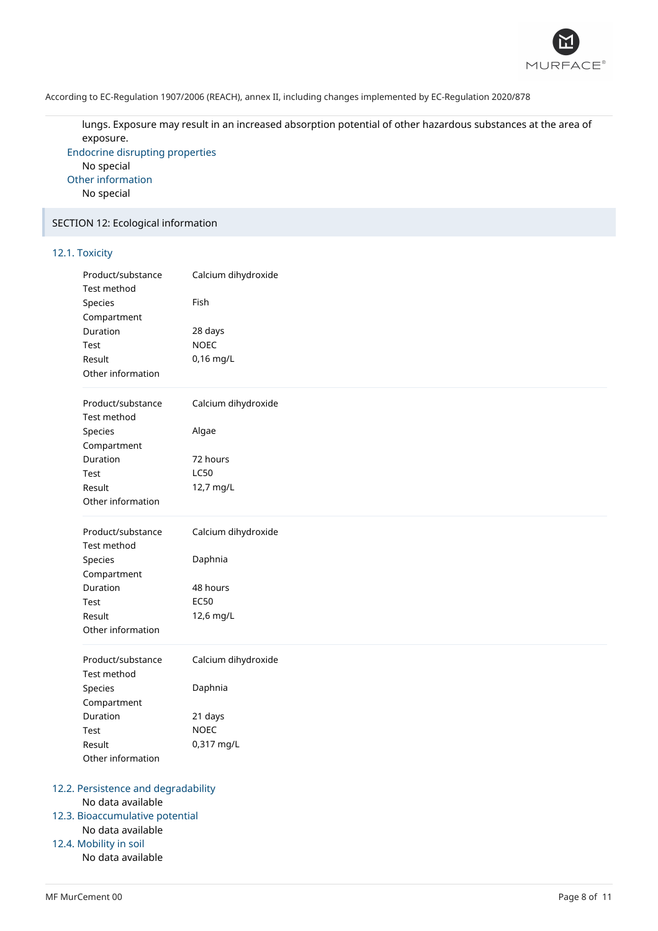

lungs. Exposure may result in an increased absorption potential of other hazardous substances at the area of exposure.

Endocrine disrupting properties No special Other information No special

# SECTION 12: Ecological information

# 12.1. Toxicity

| Product/substance<br>Test method | Calcium dihydroxide |  |
|----------------------------------|---------------------|--|
| Species                          | Fish                |  |
| Compartment                      |                     |  |
| Duration                         | 28 days             |  |
| Test                             | <b>NOEC</b>         |  |
| Result                           | $0,16$ mg/L         |  |
| Other information                |                     |  |
| Product/substance                | Calcium dihydroxide |  |
| Test method                      |                     |  |
| Species                          | Algae               |  |
| Compartment                      |                     |  |
| Duration                         | 72 hours            |  |
| Test                             | <b>LC50</b>         |  |
| Result                           | 12,7 mg/L           |  |
| Other information                |                     |  |
| Product/substance                | Calcium dihydroxide |  |
| Test method                      |                     |  |
| Species                          | Daphnia             |  |
| Compartment                      |                     |  |
| Duration                         | 48 hours            |  |
| Test                             | <b>EC50</b>         |  |
| Result                           | 12,6 mg/L           |  |
| Other information                |                     |  |
| Product/substance                | Calcium dihydroxide |  |
| Test method                      |                     |  |
| Species                          | Daphnia             |  |
| Compartment                      |                     |  |
| Duration                         | 21 days             |  |
| Test                             | <b>NOEC</b>         |  |
| Result                           | 0,317 mg/L          |  |
| Other information                |                     |  |

### 12.3. Bioaccumulative potential

# No data available

12.4. Mobility in soil

No data available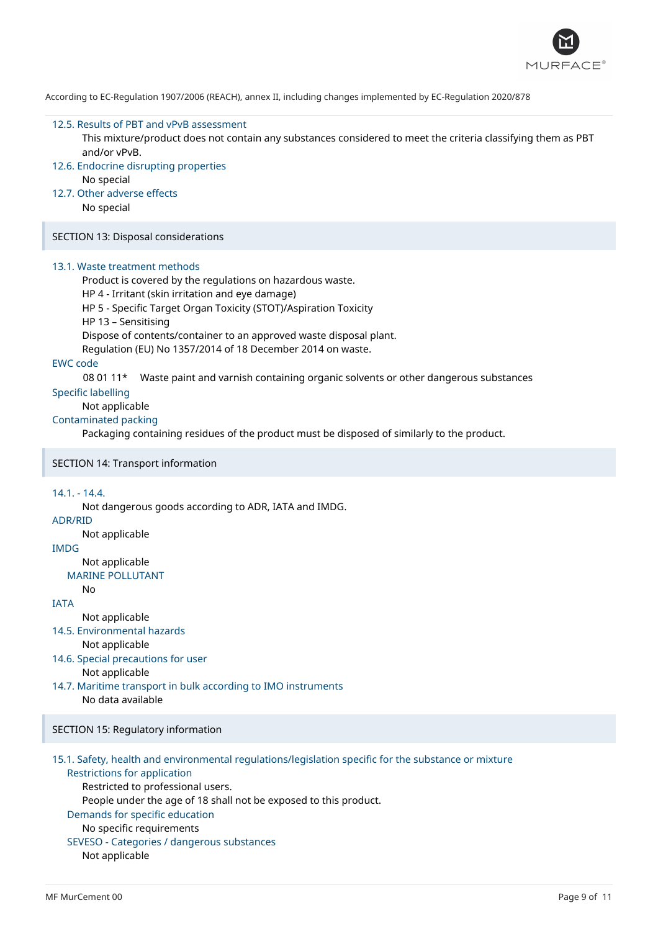

#### 12.5. Results of PBT and vPvB assessment

This mixture/product does not contain any substances considered to meet the criteria classifying them as PBT and/or vPvB.

- 12.6. Endocrine disrupting properties
	- No special
- 12.7. Other adverse effects

No special

SECTION 13: Disposal considerations

#### 13.1. Waste treatment methods

Product is covered by the regulations on hazardous waste.

HP 4 - Irritant (skin irritation and eye damage)

HP 5 - Specific Target Organ Toxicity (STOT)/Aspiration Toxicity

HP 13 – Sensitising

Dispose of contents/container to an approved waste disposal plant.

Regulation (EU) No 1357/2014 of 18 December 2014 on waste.

### EWC code

08 01 11\* Waste paint and varnish containing organic solvents or other dangerous substances

# Specific labelling

# Not applicable

# Contaminated packing

Packaging containing residues of the product must be disposed of similarly to the product.

### SECTION 14: Transport information

#### 14.1. - 14.4.

Not dangerous goods according to ADR, IATA and IMDG.

# ADR/RID

Not applicable

# IMDG

Not applicable

MARINE POLLUTANT

# No

- **IATA** 
	- Not applicable
- 14.5. Environmental hazards
	- Not applicable
- 14.6. Special precautions for user

Not applicable

14.7. Maritime transport in bulk according to IMO instruments No data available

# SECTION 15: Regulatory information

- 15.1. Safety, health and environmental regulations/legislation specific for the substance or mixture Restrictions for application
	- Restricted to professional users.

People under the age of 18 shall not be exposed to this product.

# Demands for specific education

# No specific requirements

# SEVESO - Categories / dangerous substances

Not applicable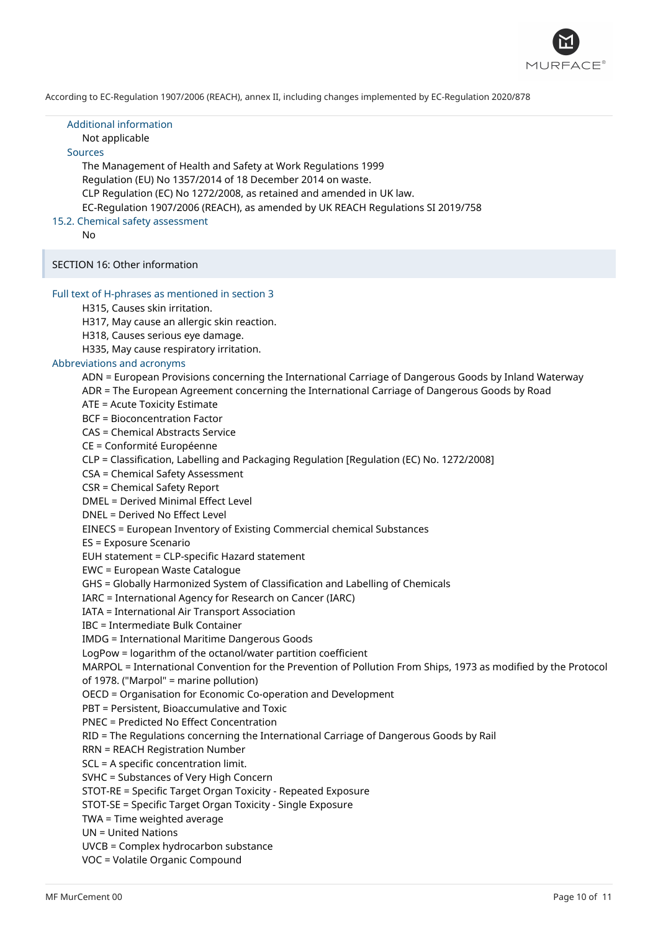

| <b>Additional information</b><br>Not applicable<br><b>Sources</b><br>The Management of Health and Safety at Work Regulations 1999<br>Regulation (EU) No 1357/2014 of 18 December 2014 on waste.<br>CLP Regulation (EC) No 1272/2008, as retained and amended in UK law.<br>EC-Regulation 1907/2006 (REACH), as amended by UK REACH Regulations SI 2019/758<br>15.2. Chemical safety assessment<br>No                                                                                                                                                                                                                                                                                                                                                                                                                                                                                                                                                                                                                                                                                                                                                                                                                                                                                                                                                                                                                                                                                                                                                                                                                                                                                                                                                                                                                                                                                                                                                                                                                                                                                                                                                                                |
|-------------------------------------------------------------------------------------------------------------------------------------------------------------------------------------------------------------------------------------------------------------------------------------------------------------------------------------------------------------------------------------------------------------------------------------------------------------------------------------------------------------------------------------------------------------------------------------------------------------------------------------------------------------------------------------------------------------------------------------------------------------------------------------------------------------------------------------------------------------------------------------------------------------------------------------------------------------------------------------------------------------------------------------------------------------------------------------------------------------------------------------------------------------------------------------------------------------------------------------------------------------------------------------------------------------------------------------------------------------------------------------------------------------------------------------------------------------------------------------------------------------------------------------------------------------------------------------------------------------------------------------------------------------------------------------------------------------------------------------------------------------------------------------------------------------------------------------------------------------------------------------------------------------------------------------------------------------------------------------------------------------------------------------------------------------------------------------------------------------------------------------------------------------------------------------|
| SECTION 16: Other information                                                                                                                                                                                                                                                                                                                                                                                                                                                                                                                                                                                                                                                                                                                                                                                                                                                                                                                                                                                                                                                                                                                                                                                                                                                                                                                                                                                                                                                                                                                                                                                                                                                                                                                                                                                                                                                                                                                                                                                                                                                                                                                                                       |
| Full text of H-phrases as mentioned in section 3<br>H315, Causes skin irritation.<br>H317, May cause an allergic skin reaction.<br>H318, Causes serious eye damage.<br>H335, May cause respiratory irritation.<br>Abbreviations and acronyms<br>ADN = European Provisions concerning the International Carriage of Dangerous Goods by Inland Waterway<br>ADR = The European Agreement concerning the International Carriage of Dangerous Goods by Road<br>ATE = Acute Toxicity Estimate<br><b>BCF = Bioconcentration Factor</b><br><b>CAS = Chemical Abstracts Service</b><br>CE = Conformité Européenne<br>CLP = Classification, Labelling and Packaging Regulation [Regulation (EC) No. 1272/2008]<br>CSA = Chemical Safety Assessment<br><b>CSR = Chemical Safety Report</b><br><b>DMEL = Derived Minimal Effect Level</b><br>DNEL = Derived No Effect Level<br>EINECS = European Inventory of Existing Commercial chemical Substances<br>ES = Exposure Scenario<br>EUH statement = CLP-specific Hazard statement<br>EWC = European Waste Catalogue<br>GHS = Globally Harmonized System of Classification and Labelling of Chemicals<br>IARC = International Agency for Research on Cancer (IARC)<br><b>IATA = International Air Transport Association</b><br><b>IBC</b> = Intermediate Bulk Container<br><b>IMDG = International Maritime Dangerous Goods</b><br>LogPow = logarithm of the octanol/water partition coefficient<br>MARPOL = International Convention for the Prevention of Pollution From Ships, 1973 as modified by the Protocol<br>of 1978. ("Marpol" = marine pollution)<br>OECD = Organisation for Economic Co-operation and Development<br>PBT = Persistent, Bioaccumulative and Toxic<br><b>PNEC = Predicted No Effect Concentration</b><br>RID = The Regulations concerning the International Carriage of Dangerous Goods by Rail<br><b>RRN = REACH Registration Number</b><br>SCL = A specific concentration limit.<br>SVHC = Substances of Very High Concern<br>STOT-RE = Specific Target Organ Toxicity - Repeated Exposure<br>STOT-SE = Specific Target Organ Toxicity - Single Exposure<br>TWA = Time weighted average<br><b>UN = United Nations</b> |
| UVCB = Complex hydrocarbon substance<br>VOC = Volatile Organic Compound                                                                                                                                                                                                                                                                                                                                                                                                                                                                                                                                                                                                                                                                                                                                                                                                                                                                                                                                                                                                                                                                                                                                                                                                                                                                                                                                                                                                                                                                                                                                                                                                                                                                                                                                                                                                                                                                                                                                                                                                                                                                                                             |

I